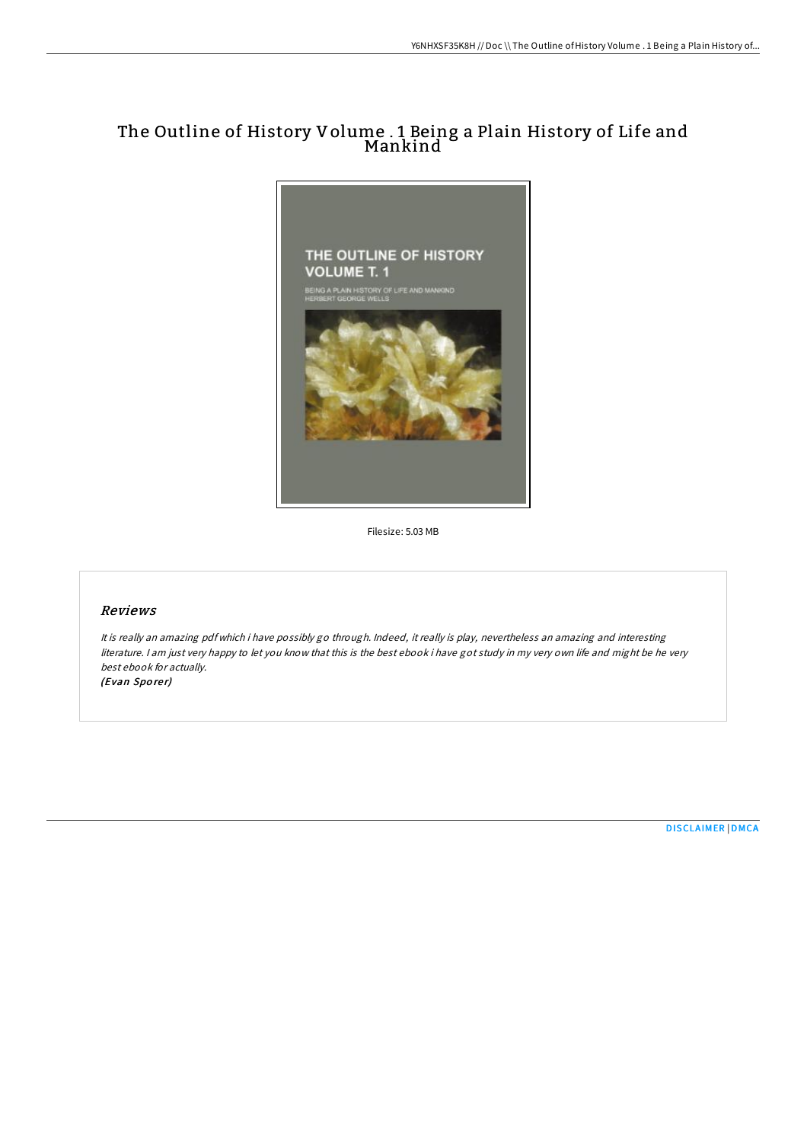# The Outline of History Volume . 1 Being a Plain History of Life and Mankind



Filesize: 5.03 MB

## Reviews

It is really an amazing pdf which i have possibly go through. Indeed, it really is play, nevertheless an amazing and interesting literature. <sup>I</sup> am just very happy to let you know that this is the best ebook i have got study in my very own life and might be he very best ebook for actually. (Evan Sporer)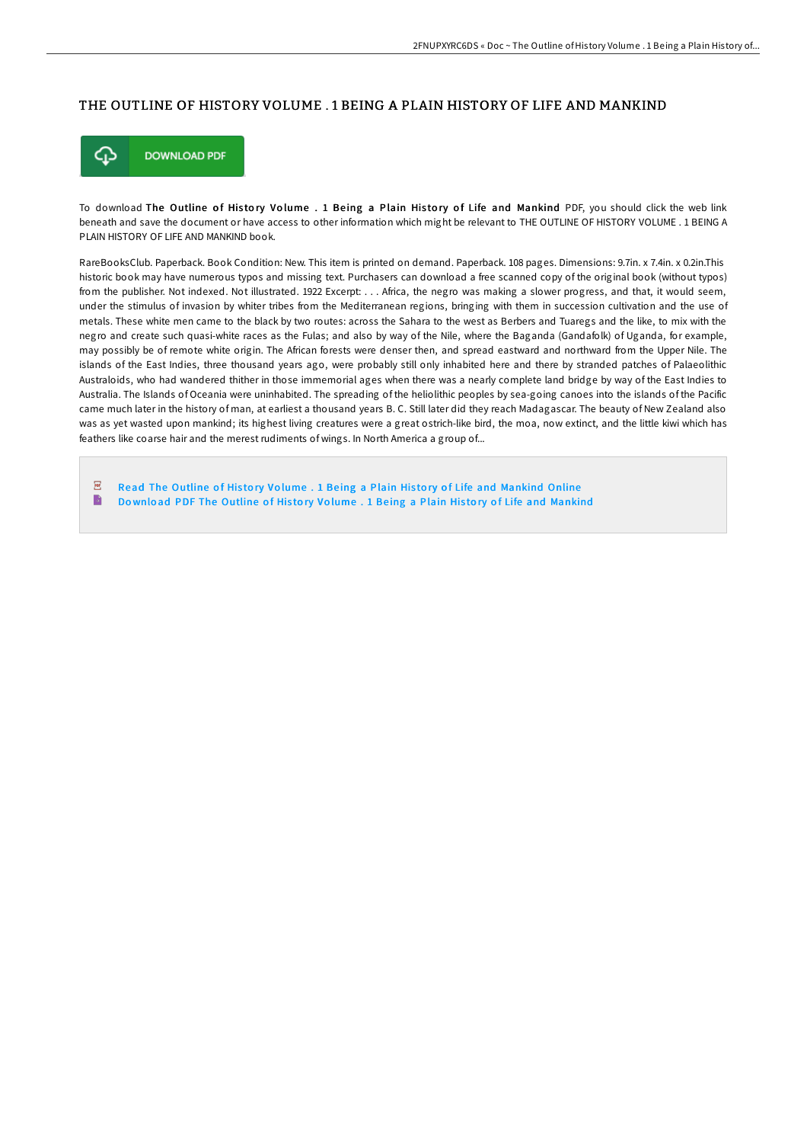### THE OUTLINE OF HISTORY VOLUME . 1 BEING A PLAIN HISTORY OF LIFE AND MANKIND



To download The Outline of History Volume . 1 Being a Plain History of Life and Mankind PDF, you should click the web link beneath and save the document or have access to other information which might be relevant to THE OUTLINE OF HISTORY VOLUME . 1 BEING A PLAIN HISTORY OF LIFE AND MANKIND book.

RareBooksClub. Paperback. Book Condition: New. This item is printed on demand. Paperback. 108 pages. Dimensions: 9.7in. x 7.4in. x 0.2in.This historic book may have numerous typos and missing text. Purchasers can download a free scanned copy of the original book (without typos) from the publisher. Not indexed. Not illustrated. 1922 Excerpt: . . . Africa, the negro was making a slower progress, and that, it would seem, under the stimulus of invasion by whiter tribes from the Mediterranean regions, bringing with them in succession cultivation and the use of metals. These white men came to the black by two routes: across the Sahara to the west as Berbers and Tuaregs and the like, to mix with the negro and create such quasi-white races as the Fulas; and also by way of the Nile, where the Baganda (Gandafolk) of Uganda, for example, may possibly be of remote white origin. The African forests were denser then, and spread eastward and northward from the Upper Nile. The islands of the East Indies, three thousand years ago, were probably still only inhabited here and there by stranded patches of Palaeolithic Australoids, who had wandered thither in those immemorial ages when there was a nearly complete land bridge by way of the East Indies to Australia. The Islands of Oceania were uninhabited. The spreading of the heliolithic peoples by sea-going canoes into the islands of the Pacific came much later in the history of man, at earliest a thousand years B. C. Still later did they reach Madagascar. The beauty of New Zealand also was as yet wasted upon mankind; its highest living creatures were a great ostrich-like bird, the moa, now extinct, and the little kiwi which has feathers like coarse hair and the merest rudiments of wings. In North America a group of...

 $\overline{p}$ Read The Outline of History Volume . 1 Being a Plain History of Life and [Mankind](http://almighty24.tech/the-outline-of-history-volume-1-being-a-plain-hi.html) Online B Download PDF The Outline of History Volume . 1 Being a Plain History of Life and [Mankind](http://almighty24.tech/the-outline-of-history-volume-1-being-a-plain-hi.html)